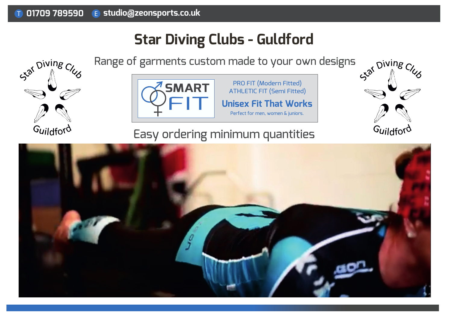# **Star Diving Clubs - Guldford**

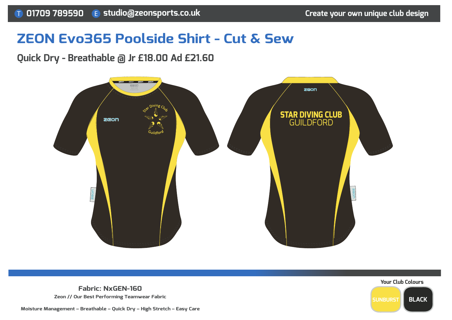## **ZEON Evo365 Poolside Shirt - Cut & Sew**

## **Quick Dry - Breathable @ Jr £18.00 Ad £21.60**





**Fabric: NxGEN-160Zeon // Our Best Performing Teamwear Fabric**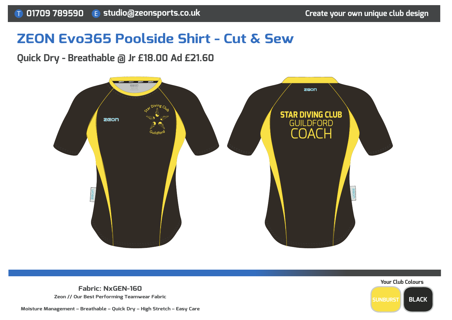## **ZEON Evo365 Poolside Shirt - Cut & Sew**

## **Quick Dry - Breathable @ Jr £18.00 Ad £21.60**





**Fabric: NxGEN-160Zeon // Our Best Performing Teamwear Fabric**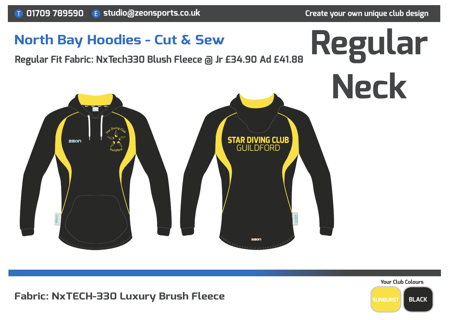

#### **Fabric: NxTECH-330 Luxury Brush Fleece**

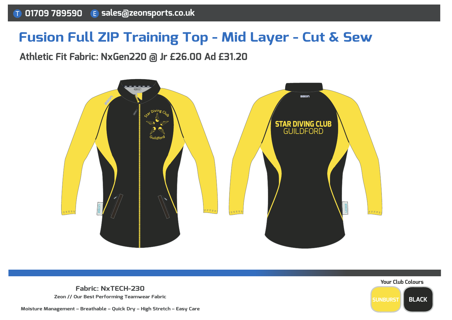## **Fusion Full ZIP Training Top - Mid Layer - Cut & Sew**

#### **Athletic Fit Fabric: NxGen220 @ Jr £26.00 Ad £31.20**



**Fabric: NxTECH-230Zeon // Our Best Performing Teamwear Fabric**



**Moisture Management – Breathable – Quick Dry – High Stretch – Easy Care**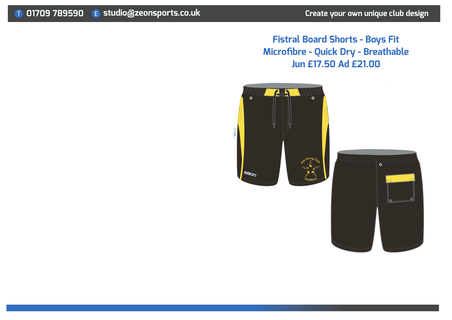### **Fistral Board Shorts - Boys Fit Microfibre - Quick Dry - BreathableJun £17.50 Ad £21.00**